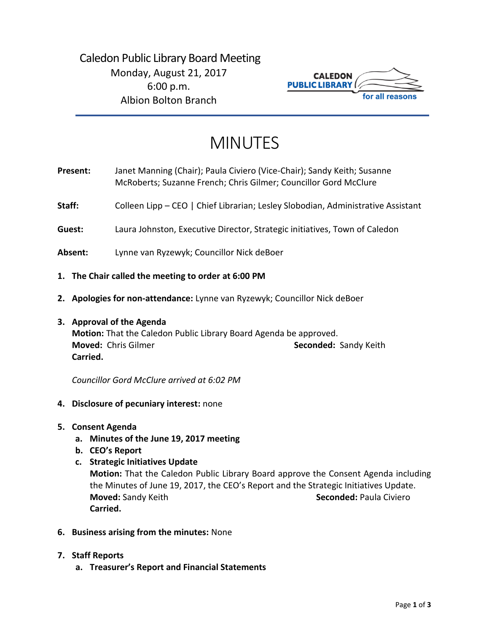

# MINUTES

- **Present:** Janet Manning (Chair); Paula Civiero (Vice-Chair); Sandy Keith; Susanne McRoberts; Suzanne French; Chris Gilmer; Councillor Gord McClure
- Staff: Colleen Lipp CEO | Chief Librarian; Lesley Slobodian, Administrative Assistant
- **Guest:** Laura Johnston, Executive Director, Strategic initiatives, Town of Caledon
- **Absent:** Lynne van Ryzewyk; Councillor Nick deBoer
- **1. The Chair called the meeting to order at 6:00 PM**
- **2. Apologies for non-attendance:** Lynne van Ryzewyk; Councillor Nick deBoer
- **3. Approval of the Agenda**

**Motion:** That the Caledon Public Library Board Agenda be approved. **Moved:** Chris Gilmer **Seconded:** Sandy Keith **Carried.**

*Councillor Gord McClure arrived at 6:02 PM*

- **4. Disclosure of pecuniary interest:** none
- **5. Consent Agenda**
	- **a. Minutes of the June 19, 2017 meeting**
	- **b. CEO's Report**
	- **c. Strategic Initiatives Update**

**Motion:** That the Caledon Public Library Board approve the Consent Agenda including the Minutes of June 19, 2017, the CEO's Report and the Strategic Initiatives Update. **Moved:** Sandy Keith **Seconded:** Paula Civiero **Carried.**

- **6. Business arising from the minutes:** None
- **7. Staff Reports**
	- **a. Treasurer's Report and Financial Statements**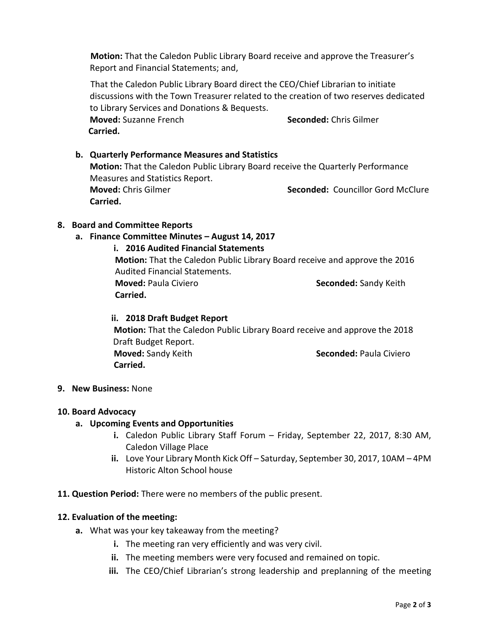**Motion:** That the Caledon Public Library Board receive and approve the Treasurer's Report and Financial Statements; and,

That the Caledon Public Library Board direct the CEO/Chief Librarian to initiate discussions with the Town Treasurer related to the creation of two reserves dedicated to Library Services and Donations & Bequests.

**Moved:** Suzanne French **Seconded:** Chris Gilmer **Carried.** 

# **b. Quarterly Performance Measures and Statistics Motion:** That the Caledon Public Library Board receive the Quarterly Performance Measures and Statistics Report. **Moved:** Chris Gilmer **Seconded:** Councillor Gord McClure **Carried.**

## **8. Board and Committee Reports**

## **a. Finance Committee Minutes – August 14, 2017**

## **i. 2016 Audited Financial Statements**

**Motion:** That the Caledon Public Library Board receive and approve the 2016 Audited Financial Statements. **Moved:** Paula Civiero **Seconded:** Sandy Keith **Carried.**

#### **ii. 2018 Draft Budget Report**

**Motion:** That the Caledon Public Library Board receive and approve the 2018 Draft Budget Report. **Moved:** Sandy Keith **Seconded: Paula Civiero Seconded: Paula Civiero Carried.** 

#### **9. New Business:** None

#### **10. Board Advocacy**

#### **a. Upcoming Events and Opportunities**

- **i.** Caledon Public Library Staff Forum Friday, September 22, 2017, 8:30 AM, Caledon Village Place
- **ii.** Love Your Library Month Kick Off Saturday, September 30, 2017, 10AM 4PM Historic Alton School house
- **11. Question Period:** There were no members of the public present.

#### **12. Evaluation of the meeting:**

- **a.** What was your key takeaway from the meeting?
	- **i.** The meeting ran very efficiently and was very civil.
	- **ii.** The meeting members were very focused and remained on topic.
	- **iii.** The CEO/Chief Librarian's strong leadership and preplanning of the meeting